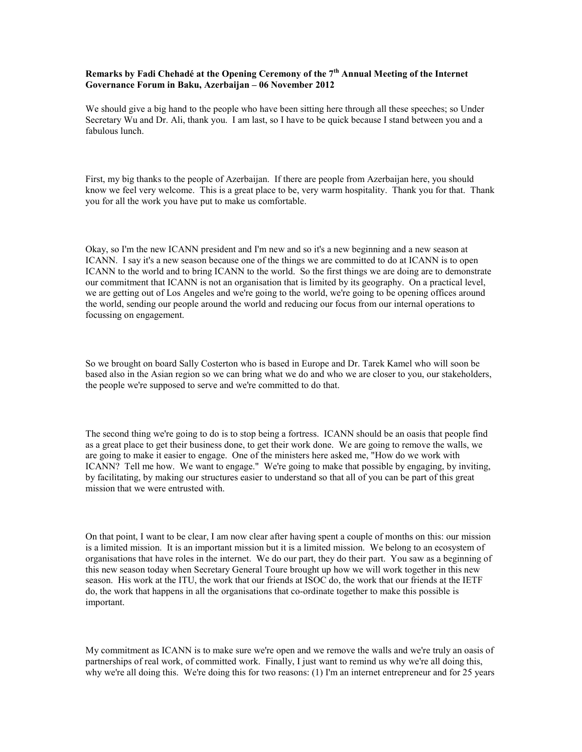## **Remarks by Fadi Chehadé at the Opening Ceremony of the 7th Annual Meeting of the Internet Governance Forum in Baku, Azerbaijan – 06 November 2012**

We should give a big hand to the people who have been sitting here through all these speeches; so Under Secretary Wu and Dr. Ali, thank you. I am last, so I have to be quick because I stand between you and a fabulous lunch.

First, my big thanks to the people of Azerbaijan. If there are people from Azerbaijan here, you should know we feel very welcome. This is a great place to be, very warm hospitality. Thank you for that. Thank you for all the work you have put to make us comfortable.

Okay, so I'm the new ICANN president and I'm new and so it's a new beginning and a new season at ICANN. I say it's a new season because one of the things we are committed to do at ICANN is to open ICANN to the world and to bring ICANN to the world. So the first things we are doing are to demonstrate our commitment that ICANN is not an organisation that is limited by its geography. On a practical level, we are getting out of Los Angeles and we're going to the world, we're going to be opening offices around the world, sending our people around the world and reducing our focus from our internal operations to focussing on engagement.

So we brought on board Sally Costerton who is based in Europe and Dr. Tarek Kamel who will soon be based also in the Asian region so we can bring what we do and who we are closer to you, our stakeholders, the people we're supposed to serve and we're committed to do that.

The second thing we're going to do is to stop being a fortress. ICANN should be an oasis that people find as a great place to get their business done, to get their work done. We are going to remove the walls, we are going to make it easier to engage. One of the ministers here asked me, "How do we work with ICANN? Tell me how. We want to engage." We're going to make that possible by engaging, by inviting, by facilitating, by making our structures easier to understand so that all of you can be part of this great mission that we were entrusted with.

On that point, I want to be clear, I am now clear after having spent a couple of months on this: our mission is a limited mission. It is an important mission but it is a limited mission. We belong to an ecosystem of organisations that have roles in the internet. We do our part, they do their part. You saw as a beginning of this new season today when Secretary General Toure brought up how we will work together in this new season. His work at the ITU, the work that our friends at ISOC do, the work that our friends at the IETF do, the work that happens in all the organisations that co-ordinate together to make this possible is important.

My commitment as ICANN is to make sure we're open and we remove the walls and we're truly an oasis of partnerships of real work, of committed work. Finally, I just want to remind us why we're all doing this, why we're all doing this. We're doing this for two reasons: (1) I'm an internet entrepreneur and for 25 years